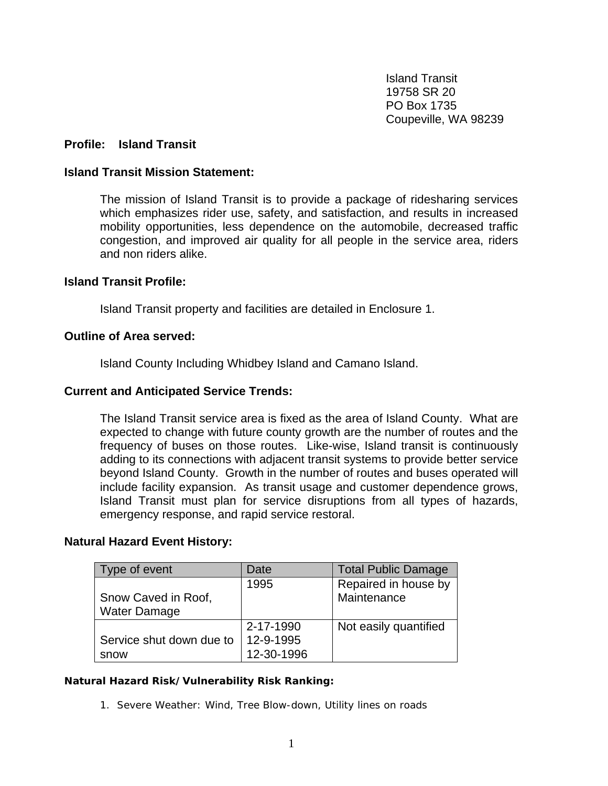Island Transit 19758 SR 20 PO Box 1735 Coupeville, WA 98239

## **Profile: Island Transit**

## **Island Transit Mission Statement:**

The mission of Island Transit is to provide a package of ridesharing services which emphasizes rider use, safety, and satisfaction, and results in increased mobility opportunities, less dependence on the automobile, decreased traffic congestion, and improved air quality for all people in the service area, riders and non riders alike.

## **Island Transit Profile:**

Island Transit property and facilities are detailed in Enclosure 1.

## **Outline of Area served:**

Island County Including Whidbey Island and Camano Island.

### **Current and Anticipated Service Trends:**

The Island Transit service area is fixed as the area of Island County. What are expected to change with future county growth are the number of routes and the frequency of buses on those routes. Like-wise, Island transit is continuously adding to its connections with adjacent transit systems to provide better service beyond Island County. Growth in the number of routes and buses operated will include facility expansion. As transit usage and customer dependence grows, Island Transit must plan for service disruptions from all types of hazards, emergency response, and rapid service restoral.

## **Natural Hazard Event History:**

| Type of event            | Date       | <b>Total Public Damage</b> |
|--------------------------|------------|----------------------------|
|                          | 1995       | Repaired in house by       |
| Snow Caved in Roof,      |            | Maintenance                |
| <b>Water Damage</b>      |            |                            |
|                          | 2-17-1990  | Not easily quantified      |
| Service shut down due to | 12-9-1995  |                            |
| snow                     | 12-30-1996 |                            |

#### **Natural Hazard Risk/Vulnerability Risk Ranking:**

1. Severe Weather: Wind, Tree Blow-down, Utility lines on roads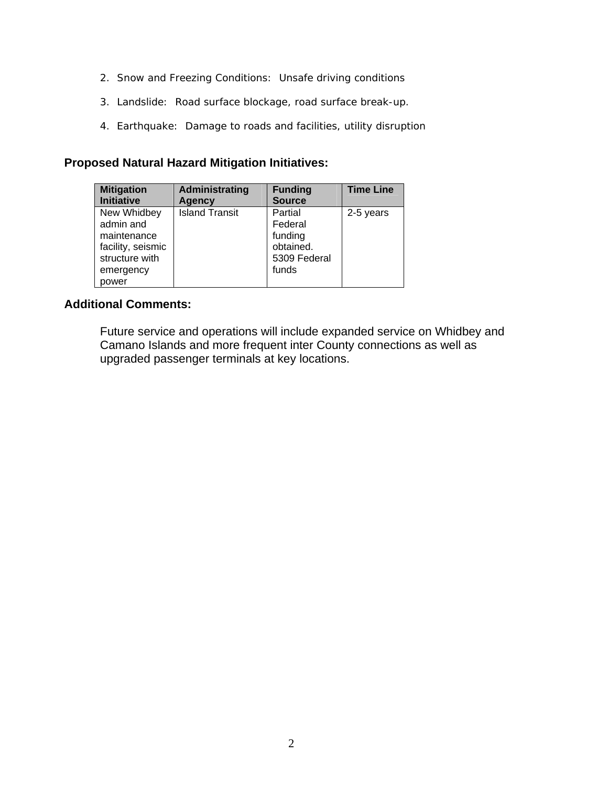- 2. Snow and Freezing Conditions: Unsafe driving conditions
- 3. Landslide: Road surface blockage, road surface break-up.
- 4. Earthquake: Damage to roads and facilities, utility disruption

# **Proposed Natural Hazard Mitigation Initiatives:**

| <b>Mitigation</b>                                                                                    | Administrating        | <b>Funding</b>                                                      | <b>Time Line</b> |
|------------------------------------------------------------------------------------------------------|-----------------------|---------------------------------------------------------------------|------------------|
| <b>Initiative</b>                                                                                    | Agency                | <b>Source</b>                                                       |                  |
| New Whidbey<br>admin and<br>maintenance<br>facility, seismic<br>structure with<br>emergency<br>power | <b>Island Transit</b> | Partial<br>Federal<br>funding<br>obtained.<br>5309 Federal<br>funds | 2-5 years        |

# **Additional Comments:**

Future service and operations will include expanded service on Whidbey and Camano Islands and more frequent inter County connections as well as upgraded passenger terminals at key locations.